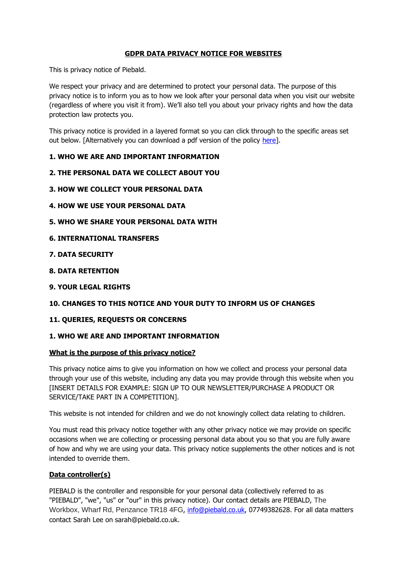# **GDPR DATA PRIVACY NOTICE FOR WEBSITES**

This is privacy notice of Piebald.

We respect your privacy and are determined to protect your personal data. The purpose of this privacy notice is to inform you as to how we look after your personal data when you visit our website (regardless of where you visit it from). We'll also tell you about your privacy rights and how the data protection law protects you.

This privacy notice is provided in a layered format so you can click through to the specific areas set out below. [Alternatively you can download a pdf version of the policy [here\]](https://piebald.co.uk/gdpr-data-privacy-notice-for-websites.pdf).

### **1. WHO WE ARE AND IMPORTANT INFORMATION**

**2. THE PERSONAL DATA WE COLLECT ABOUT YOU**

- **3. HOW WE COLLECT YOUR PERSONAL DATA**
- **4. HOW WE USE YOUR PERSONAL DATA**
- **5. WHO WE SHARE YOUR PERSONAL DATA WITH**
- **6. INTERNATIONAL TRANSFERS**
- **7. DATA SECURITY**
- **8. DATA RETENTION**
- **9. YOUR LEGAL RIGHTS**

### **10. CHANGES TO THIS NOTICE AND YOUR DUTY TO INFORM US OF CHANGES**

#### **11. QUERIES, REQUESTS OR CONCERNS**

### **1. WHO WE ARE AND IMPORTANT INFORMATION**

#### **What is the purpose of this privacy notice?**

This privacy notice aims to give you information on how we collect and process your personal data through your use of this website, including any data you may provide through this website when you [INSERT DETAILS FOR EXAMPLE: SIGN UP TO OUR NEWSLETTER/PURCHASE A PRODUCT OR SERVICE/TAKE PART IN A COMPETITION].

This website is not intended for children and we do not knowingly collect data relating to children.

You must read this privacy notice together with any other privacy notice we may provide on specific occasions when we are collecting or processing personal data about you so that you are fully aware of how and why we are using your data. This privacy notice supplements the other notices and is not intended to override them.

#### **Data controller(s)**

PIEBALD is the controller and responsible for your personal data (collectively referred to as "PIEBALD", "we", "us" or "our" in this privacy notice). Our contact details are PIEBALD, The Workbox, Wharf Rd, Penzance TR18 4FG, [info@piebald.co.uk,](mailto:info@piebald.co.uk) 07749382628. For all data matters contact Sarah Lee on sarah@piebald.co.uk.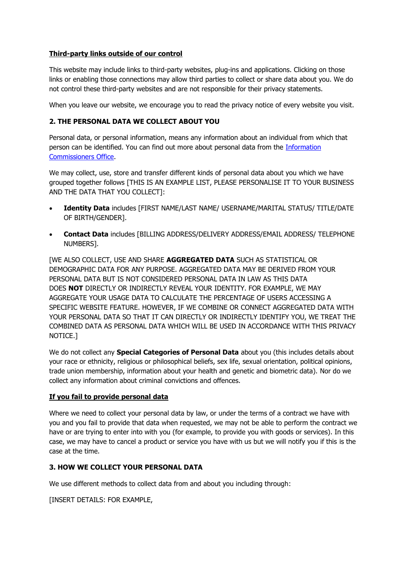### **Third-party links outside of our control**

This website may include links to third-party websites, plug-ins and applications. Clicking on those links or enabling those connections may allow third parties to collect or share data about you. We do not control these third-party websites and are not responsible for their privacy statements.

When you leave our website, we encourage you to read the privacy notice of every website you visit.

### **2. THE PERSONAL DATA WE COLLECT ABOUT YOU**

Personal data, or personal information, means any information about an individual from which that person can be identified. You can find out more about personal data from the [Information](https://ico.org.uk/global/contact-us/)  [Commissioners Office.](https://ico.org.uk/global/contact-us/)

We may collect, use, store and transfer different kinds of personal data about you which we have grouped together follows [THIS IS AN EXAMPLE LIST, PLEASE PERSONALISE IT TO YOUR BUSINESS AND THE DATA THAT YOU COLLECT]:

- **Identity Data** includes [FIRST NAME/LAST NAME/ USERNAME/MARITAL STATUS/ TITLE/DATE OF BIRTH/GENDER].
- **Contact Data** includes [BILLING ADDRESS/DELIVERY ADDRESS/EMAIL ADDRESS/ TELEPHONE NUMBERS].

[WE ALSO COLLECT, USE AND SHARE **AGGREGATED DATA** SUCH AS STATISTICAL OR DEMOGRAPHIC DATA FOR ANY PURPOSE. AGGREGATED DATA MAY BE DERIVED FROM YOUR PERSONAL DATA BUT IS NOT CONSIDERED PERSONAL DATA IN LAW AS THIS DATA DOES **NOT** DIRECTLY OR INDIRECTLY REVEAL YOUR IDENTITY. FOR EXAMPLE, WE MAY AGGREGATE YOUR USAGE DATA TO CALCULATE THE PERCENTAGE OF USERS ACCESSING A SPECIFIC WEBSITE FEATURE. HOWEVER, IF WE COMBINE OR CONNECT AGGREGATED DATA WITH YOUR PERSONAL DATA SO THAT IT CAN DIRECTLY OR INDIRECTLY IDENTIFY YOU, WE TREAT THE COMBINED DATA AS PERSONAL DATA WHICH WILL BE USED IN ACCORDANCE WITH THIS PRIVACY NOTICE.]

We do not collect any **Special Categories of Personal Data** about you (this includes details about your race or ethnicity, religious or philosophical beliefs, sex life, sexual orientation, political opinions, trade union membership, information about your health and genetic and biometric data). Nor do we collect any information about criminal convictions and offences.

### **If you fail to provide personal data**

Where we need to collect your personal data by law, or under the terms of a contract we have with you and you fail to provide that data when requested, we may not be able to perform the contract we have or are trying to enter into with you (for example, to provide you with goods or services). In this case, we may have to cancel a product or service you have with us but we will notify you if this is the case at the time.

### **3. HOW WE COLLECT YOUR PERSONAL DATA**

We use different methods to collect data from and about you including through:

[INSERT DETAILS: FOR EXAMPLE,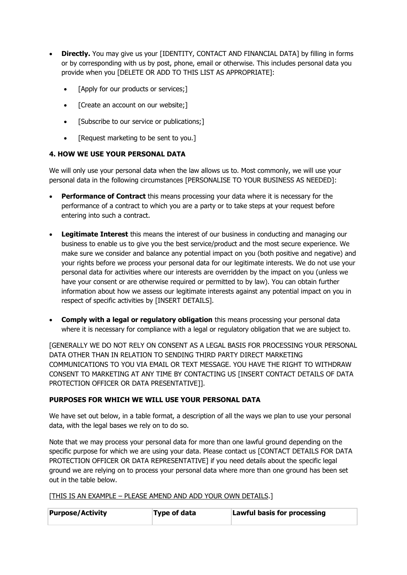- **Directly.** You may give us your [IDENTITY, CONTACT AND FINANCIAL DATA] by filling in forms or by corresponding with us by post, phone, email or otherwise. This includes personal data you provide when you [DELETE OR ADD TO THIS LIST AS APPROPRIATE]:
	- [Apply for our products or services:]
	- [Create an account on our website;]
	- [Subscribe to our service or publications;]
	- [Request marketing to be sent to you.]

# **4. HOW WE USE YOUR PERSONAL DATA**

We will only use your personal data when the law allows us to. Most commonly, we will use your personal data in the following circumstances [PERSONALISE TO YOUR BUSINESS AS NEEDED]:

- **Performance of Contract** this means processing your data where it is necessary for the performance of a contract to which you are a party or to take steps at your request before entering into such a contract.
- **Legitimate Interest** this means the interest of our business in conducting and managing our business to enable us to give you the best service/product and the most secure experience. We make sure we consider and balance any potential impact on you (both positive and negative) and your rights before we process your personal data for our legitimate interests. We do not use your personal data for activities where our interests are overridden by the impact on you (unless we have your consent or are otherwise required or permitted to by law). You can obtain further information about how we assess our legitimate interests against any potential impact on you in respect of specific activities by [INSERT DETAILS].
- **Comply with a legal or regulatory obligation** this means processing your personal data where it is necessary for compliance with a legal or regulatory obligation that we are subject to.

[GENERALLY WE DO NOT RELY ON CONSENT AS A LEGAL BASIS FOR PROCESSING YOUR PERSONAL DATA OTHER THAN IN RELATION TO SENDING THIRD PARTY DIRECT MARKETING COMMUNICATIONS TO YOU VIA EMAIL OR TEXT MESSAGE. YOU HAVE THE RIGHT TO WITHDRAW CONSENT TO MARKETING AT ANY TIME BY CONTACTING US [INSERT CONTACT DETAILS OF DATA PROTECTION OFFICER OR DATA PRESENTATIVE]].

### **PURPOSES FOR WHICH WE WILL USE YOUR PERSONAL DATA**

We have set out below, in a table format, a description of all the ways we plan to use your personal data, with the legal bases we rely on to do so.

Note that we may process your personal data for more than one lawful ground depending on the specific purpose for which we are using your data. Please contact us [CONTACT DETAILS FOR DATA PROTECTION OFFICER OR DATA REPRESENTATIVE] if you need details about the specific legal ground we are relying on to process your personal data where more than one ground has been set out in the table below.

### [THIS IS AN EXAMPLE – PLEASE AMEND AND ADD YOUR OWN DETAILS.]

| <b>Purpose/Activity</b> | Type of data | <b>Lawful basis for processing</b> |
|-------------------------|--------------|------------------------------------|
|                         |              |                                    |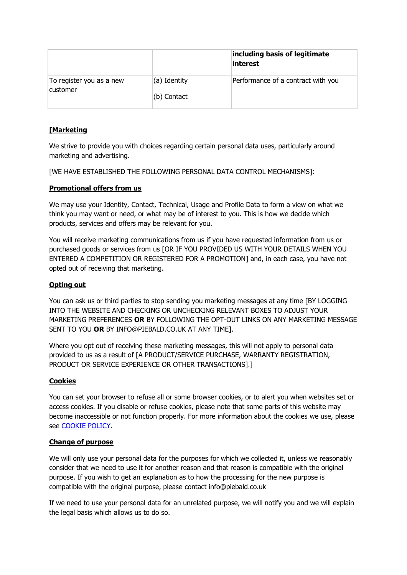|                                      |                             | including basis of legitimate<br>interest |
|--------------------------------------|-----------------------------|-------------------------------------------|
| To register you as a new<br>customer | (a) Identity<br>(b) Contact | Performance of a contract with you        |
|                                      |                             |                                           |

### **[Marketing**

We strive to provide you with choices regarding certain personal data uses, particularly around marketing and advertising.

[WE HAVE ESTABLISHED THE FOLLOWING PERSONAL DATA CONTROL MECHANISMS]:

### **Promotional offers from us**

We may use your Identity, Contact, Technical, Usage and Profile Data to form a view on what we think you may want or need, or what may be of interest to you. This is how we decide which products, services and offers may be relevant for you.

You will receive marketing communications from us if you have requested information from us or purchased goods or services from us [OR IF YOU PROVIDED US WITH YOUR DETAILS WHEN YOU ENTERED A COMPETITION OR REGISTERED FOR A PROMOTION] and, in each case, you have not opted out of receiving that marketing.

### **Opting out**

You can ask us or third parties to stop sending you marketing messages at any time [BY LOGGING INTO THE WEBSITE AND CHECKING OR UNCHECKING RELEVANT BOXES TO ADJUST YOUR MARKETING PREFERENCES **OR** BY FOLLOWING THE OPT-OUT LINKS ON ANY MARKETING MESSAGE SENT TO YOU **OR** BY INFO@PIEBALD.CO.UK AT ANY TIME].

Where you opt out of receiving these marketing messages, this will not apply to personal data provided to us as a result of [A PRODUCT/SERVICE PURCHASE, WARRANTY REGISTRATION, PRODUCT OR SERVICE EXPERIENCE OR OTHER TRANSACTIONS].]

### **Cookies**

You can set your browser to refuse all or some browser cookies, or to alert you when websites set or access cookies. If you disable or refuse cookies, please note that some parts of this website may become inaccessible or not function properly. For more information about the cookies we use, please see [COOKIE POLICY.](https://piebald.co.uk/cookie-policy/)

### **Change of purpose**

We will only use your personal data for the purposes for which we collected it, unless we reasonably consider that we need to use it for another reason and that reason is compatible with the original purpose. If you wish to get an explanation as to how the processing for the new purpose is compatible with the original purpose, please contact info@piebald.co.uk

If we need to use your personal data for an unrelated purpose, we will notify you and we will explain the legal basis which allows us to do so.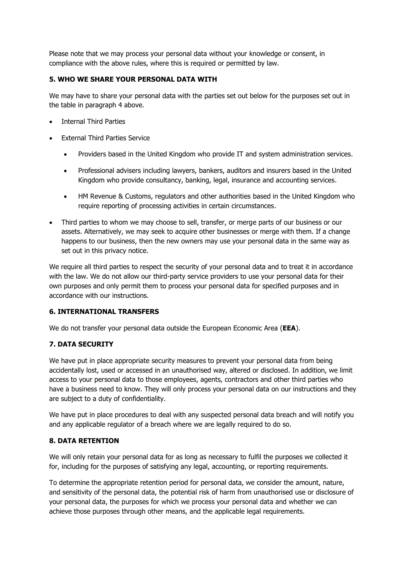Please note that we may process your personal data without your knowledge or consent, in compliance with the above rules, where this is required or permitted by law.

### **5. WHO WE SHARE YOUR PERSONAL DATA WITH**

We may have to share your personal data with the parties set out below for the purposes set out in the table in paragraph 4 above.

- Internal Third Parties
- **External Third Parties Service** 
	- Providers based in the United Kingdom who provide IT and system administration services.
	- Professional advisers including lawyers, bankers, auditors and insurers based in the United Kingdom who provide consultancy, banking, legal, insurance and accounting services.
	- HM Revenue & Customs, regulators and other authorities based in the United Kingdom who require reporting of processing activities in certain circumstances.
- Third parties to whom we may choose to sell, transfer, or merge parts of our business or our assets. Alternatively, we may seek to acquire other businesses or merge with them. If a change happens to our business, then the new owners may use your personal data in the same way as set out in this privacy notice.

We require all third parties to respect the security of your personal data and to treat it in accordance with the law. We do not allow our third-party service providers to use your personal data for their own purposes and only permit them to process your personal data for specified purposes and in accordance with our instructions.

#### **6. INTERNATIONAL TRANSFERS**

We do not transfer your personal data outside the European Economic Area (**EEA**).

#### **7. DATA SECURITY**

We have put in place appropriate security measures to prevent your personal data from being accidentally lost, used or accessed in an unauthorised way, altered or disclosed. In addition, we limit access to your personal data to those employees, agents, contractors and other third parties who have a business need to know. They will only process your personal data on our instructions and they are subject to a duty of confidentiality.

We have put in place procedures to deal with any suspected personal data breach and will notify you and any applicable regulator of a breach where we are legally required to do so.

#### **8. DATA RETENTION**

We will only retain your personal data for as long as necessary to fulfil the purposes we collected it for, including for the purposes of satisfying any legal, accounting, or reporting requirements.

To determine the appropriate retention period for personal data, we consider the amount, nature, and sensitivity of the personal data, the potential risk of harm from unauthorised use or disclosure of your personal data, the purposes for which we process your personal data and whether we can achieve those purposes through other means, and the applicable legal requirements.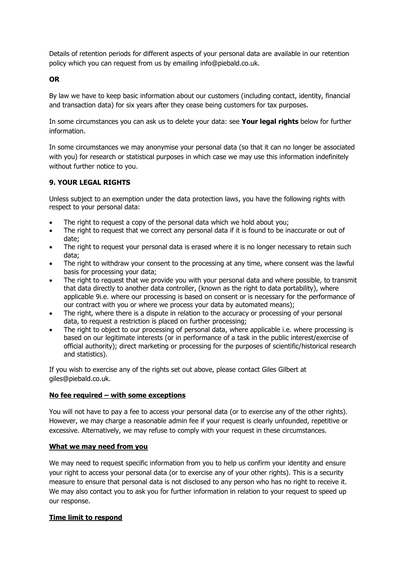Details of retention periods for different aspects of your personal data are available in our retention policy which you can request from us by emailing info@piebald.co.uk.

#### **OR**

By law we have to keep basic information about our customers (including contact, identity, financial and transaction data) for six years after they cease being customers for tax purposes.

In some circumstances you can ask us to delete your data: see **Your legal rights** below for further information.

In some circumstances we may anonymise your personal data (so that it can no longer be associated with you) for research or statistical purposes in which case we may use this information indefinitely without further notice to you.

#### **9. YOUR LEGAL RIGHTS**

Unless subject to an exemption under the data protection laws, you have the following rights with respect to your personal data:

- The right to request a copy of the personal data which we hold about you:
- The right to request that we correct any personal data if it is found to be inaccurate or out of date;
- The right to request your personal data is erased where it is no longer necessary to retain such data;
- The right to withdraw your consent to the processing at any time, where consent was the lawful basis for processing your data;
- The right to request that we provide you with your personal data and where possible, to transmit that data directly to another data controller, (known as the right to data portability), where applicable 9i.e. where our processing is based on consent or is necessary for the performance of our contract with you or where we process your data by automated means);
- The right, where there is a dispute in relation to the accuracy or processing of your personal data, to request a restriction is placed on further processing;
- The right to object to our processing of personal data, where applicable i.e. where processing is based on our legitimate interests (or in performance of a task in the public interest/exercise of official authority); direct marketing or processing for the purposes of scientific/historical research and statistics).

If you wish to exercise any of the rights set out above, please contact Giles Gilbert at giles@piebald.co.uk.

#### **No fee required – with some exceptions**

You will not have to pay a fee to access your personal data (or to exercise any of the other rights). However, we may charge a reasonable admin fee if your request is clearly unfounded, repetitive or excessive. Alternatively, we may refuse to comply with your request in these circumstances.

#### **What we may need from you**

We may need to request specific information from you to help us confirm your identity and ensure your right to access your personal data (or to exercise any of your other rights). This is a security measure to ensure that personal data is not disclosed to any person who has no right to receive it. We may also contact you to ask you for further information in relation to your request to speed up our response.

#### **Time limit to respond**